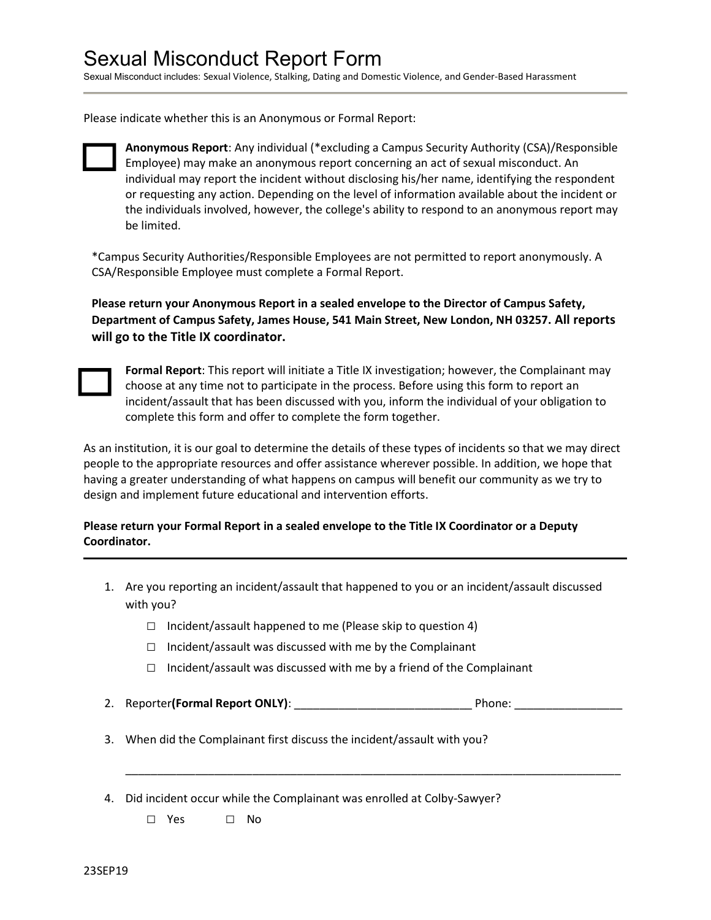# Sexual Misconduct Report Form

Sexual Misconduct includes: Sexual Violence, Stalking, Dating and Domestic Violence, and Gender-Based Harassment

Please indicate whether this is an Anonymous or Formal Report:



Anonymous Report: Any individual (\*excluding a Campus Security Authority (CSA)/Responsible Employee) may make an anonymous report concerning an act of sexual misconduct. An individual may report the incident without disclosing his/her name, identifying the respondent or requesting any action. Depending on the level of information available about the incident or the individuals involved, however, the college's ability to respond to an anonymous report may be limited.

\*Campus Security Authorities/Responsible Employees are not permitted to report anonymously. A CSA/Responsible Employee must complete a Formal Report.

Please return your Anonymous Report in a sealed envelope to the Director of Campus Safety, Department of Campus Safety, James House, 541 Main Street, New London, NH 03257. All reports will go to the Title IX coordinator.



Formal Report: This report will initiate a Title IX investigation; however, the Complainant may choose at any time not to participate in the process. Before using this form to report an incident/assault that has been discussed with you, inform the individual of your obligation to complete this form and offer to complete the form together.

As an institution, it is our goal to determine the details of these types of incidents so that we may direct people to the appropriate resources and offer assistance wherever possible. In addition, we hope that having a greater understanding of what happens on campus will benefit our community as we try to design and implement future educational and intervention efforts.

#### Please return your Formal Report in a sealed envelope to the Title IX Coordinator or a Deputy Coordinator.

- 1. Are you reporting an incident/assault that happened to you or an incident/assault discussed with you?
	- $\Box$  Incident/assault happened to me (Please skip to question 4)
	- $\Box$  Incident/assault was discussed with me by the Complainant
	- $\Box$  Incident/assault was discussed with me by a friend of the Complainant
- 2. Reporter(Formal Report ONLY): example and the position of Phone:  $\blacksquare$

\_\_\_\_\_\_\_\_\_\_\_\_\_\_\_\_\_\_\_\_\_\_\_\_\_\_\_\_\_\_\_\_\_\_\_\_\_\_\_\_\_\_\_\_\_\_\_\_\_\_\_\_\_\_\_\_\_\_\_\_\_\_\_\_\_\_\_\_\_\_\_\_\_\_\_\_\_\_

- 3. When did the Complainant first discuss the incident/assault with you?
- 4. Did incident occur while the Complainant was enrolled at Colby-Sawyer?

□ Yes □ No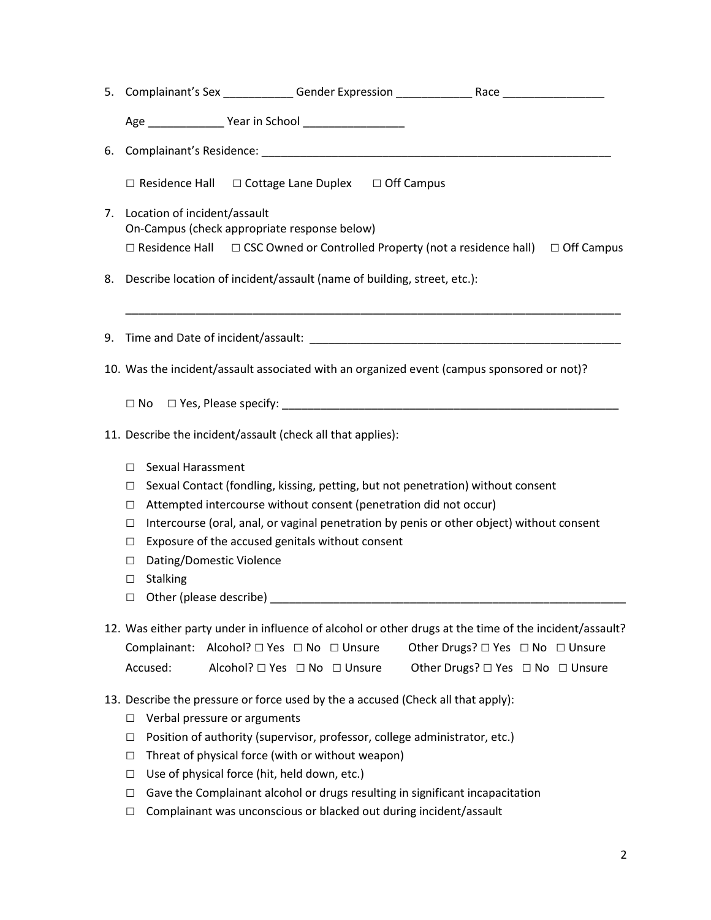|                                                                             |  |                                                                                                               | $\Box$ Off Campus                                                                                                                                                                                                                                                                                                                                                                                                                                                                                                                                                                                                                                                                                                                                                                                                                                                                                                                                                                                                                                                                                                                                                                                                                                                                                                                                                                                                                                                     |
|-----------------------------------------------------------------------------|--|---------------------------------------------------------------------------------------------------------------|-----------------------------------------------------------------------------------------------------------------------------------------------------------------------------------------------------------------------------------------------------------------------------------------------------------------------------------------------------------------------------------------------------------------------------------------------------------------------------------------------------------------------------------------------------------------------------------------------------------------------------------------------------------------------------------------------------------------------------------------------------------------------------------------------------------------------------------------------------------------------------------------------------------------------------------------------------------------------------------------------------------------------------------------------------------------------------------------------------------------------------------------------------------------------------------------------------------------------------------------------------------------------------------------------------------------------------------------------------------------------------------------------------------------------------------------------------------------------|
|                                                                             |  |                                                                                                               |                                                                                                                                                                                                                                                                                                                                                                                                                                                                                                                                                                                                                                                                                                                                                                                                                                                                                                                                                                                                                                                                                                                                                                                                                                                                                                                                                                                                                                                                       |
|                                                                             |  |                                                                                                               |                                                                                                                                                                                                                                                                                                                                                                                                                                                                                                                                                                                                                                                                                                                                                                                                                                                                                                                                                                                                                                                                                                                                                                                                                                                                                                                                                                                                                                                                       |
|                                                                             |  |                                                                                                               |                                                                                                                                                                                                                                                                                                                                                                                                                                                                                                                                                                                                                                                                                                                                                                                                                                                                                                                                                                                                                                                                                                                                                                                                                                                                                                                                                                                                                                                                       |
|                                                                             |  |                                                                                                               |                                                                                                                                                                                                                                                                                                                                                                                                                                                                                                                                                                                                                                                                                                                                                                                                                                                                                                                                                                                                                                                                                                                                                                                                                                                                                                                                                                                                                                                                       |
| 11. Describe the incident/assault (check all that applies):                 |  |                                                                                                               |                                                                                                                                                                                                                                                                                                                                                                                                                                                                                                                                                                                                                                                                                                                                                                                                                                                                                                                                                                                                                                                                                                                                                                                                                                                                                                                                                                                                                                                                       |
| $\Box$<br>□<br>□<br>$\Box$<br>□<br>□<br><b>Stalking</b><br>$\Box$<br>$\Box$ |  |                                                                                                               |                                                                                                                                                                                                                                                                                                                                                                                                                                                                                                                                                                                                                                                                                                                                                                                                                                                                                                                                                                                                                                                                                                                                                                                                                                                                                                                                                                                                                                                                       |
|                                                                             |  |                                                                                                               |                                                                                                                                                                                                                                                                                                                                                                                                                                                                                                                                                                                                                                                                                                                                                                                                                                                                                                                                                                                                                                                                                                                                                                                                                                                                                                                                                                                                                                                                       |
| Accused:                                                                    |  |                                                                                                               | Other Drugs? □ Yes □ No □ Unsure<br>Other Drugs? □ Yes □ No □ Unsure                                                                                                                                                                                                                                                                                                                                                                                                                                                                                                                                                                                                                                                                                                                                                                                                                                                                                                                                                                                                                                                                                                                                                                                                                                                                                                                                                                                                  |
| $\Box$<br>$\Box$<br>$\Box$<br>$\Box$<br>$\Box$<br>$\Box$                    |  |                                                                                                               |                                                                                                                                                                                                                                                                                                                                                                                                                                                                                                                                                                                                                                                                                                                                                                                                                                                                                                                                                                                                                                                                                                                                                                                                                                                                                                                                                                                                                                                                       |
|                                                                             |  | Location of incident/assault<br>Sexual Harassment<br>Dating/Domestic Violence<br>Verbal pressure or arguments | 5. Complainant's Sex _____________Gender Expression _____________________________<br>Age __________________ Year in School ____________________<br>$\Box$ Residence Hall $\Box$ Cottage Lane Duplex $\Box$ Off Campus<br>On-Campus (check appropriate response below)<br>$\Box$ Residence Hall $\Box$ CSC Owned or Controlled Property (not a residence hall)<br>Describe location of incident/assault (name of building, street, etc.):<br>10. Was the incident/assault associated with an organized event (campus sponsored or not)?<br>Sexual Contact (fondling, kissing, petting, but not penetration) without consent<br>Attempted intercourse without consent (penetration did not occur)<br>Intercourse (oral, anal, or vaginal penetration by penis or other object) without consent<br>Exposure of the accused genitals without consent<br>12. Was either party under in influence of alcohol or other drugs at the time of the incident/assault?<br>Complainant: Alcohol? □ Yes □ No □ Unsure<br>Alcohol? □ Yes □ No □ Unsure<br>13. Describe the pressure or force used by the a accused (Check all that apply):<br>Position of authority (supervisor, professor, college administrator, etc.)<br>Threat of physical force (with or without weapon)<br>Use of physical force (hit, held down, etc.)<br>Gave the Complainant alcohol or drugs resulting in significant incapacitation<br>Complainant was unconscious or blacked out during incident/assault |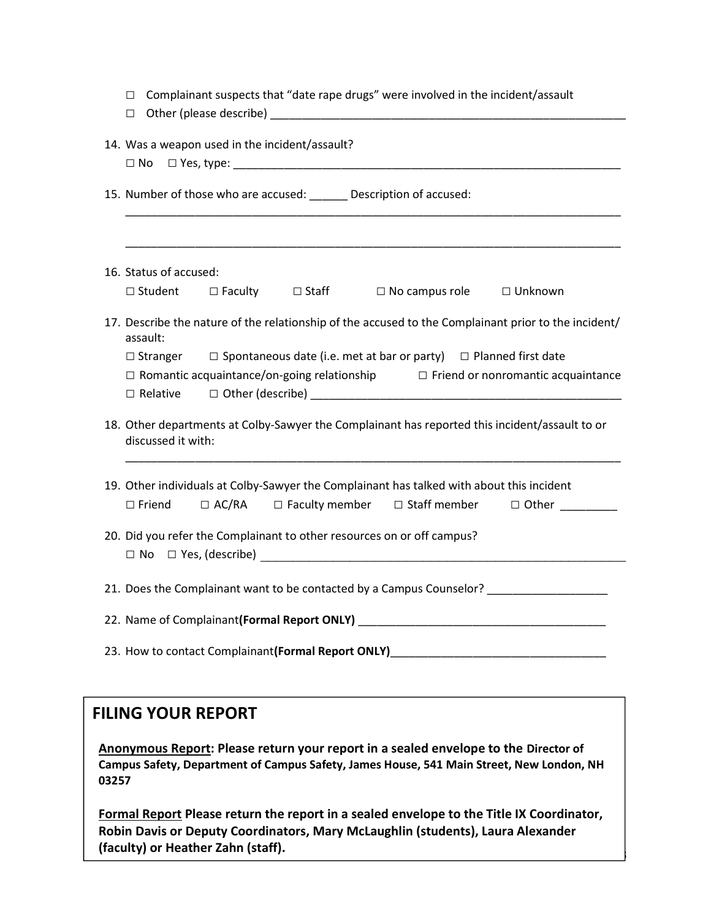| Complainant suspects that "date rape drugs" were involved in the incident/assault<br>□<br>$\Box$                                                                                                                                                            |  |  |  |
|-------------------------------------------------------------------------------------------------------------------------------------------------------------------------------------------------------------------------------------------------------------|--|--|--|
| 14. Was a weapon used in the incident/assault?                                                                                                                                                                                                              |  |  |  |
| 15. Number of those who are accused: ______ Description of accused:<br><u> 1989 - Johann John Stone, markin film yn y brening yn y brening yn y brening yn y brening yn y brening yn y b</u><br><u> 1989 - Johann Stoff, amerikansk politiker (d. 1989)</u> |  |  |  |
| 16. Status of accused:                                                                                                                                                                                                                                      |  |  |  |
| $\Box$ Student $\Box$ Faculty $\Box$ Staff $\Box$ No campus role $\Box$ Unknown                                                                                                                                                                             |  |  |  |
| 17. Describe the nature of the relationship of the accused to the Complainant prior to the incident/<br>assault:                                                                                                                                            |  |  |  |
| $\Box$ Stranger $\Box$ Spontaneous date (i.e. met at bar or party) $\Box$ Planned first date                                                                                                                                                                |  |  |  |
| $\Box$ Romantic acquaintance/on-going relationship $\Box$ Friend or nonromantic acquaintance                                                                                                                                                                |  |  |  |
|                                                                                                                                                                                                                                                             |  |  |  |
| 18. Other departments at Colby-Sawyer the Complainant has reported this incident/assault to or<br>discussed it with:                                                                                                                                        |  |  |  |
| 19. Other individuals at Colby-Sawyer the Complainant has talked with about this incident                                                                                                                                                                   |  |  |  |
| □ AC/RA □ Faculty member □ Staff member □ Other ________<br>$\Box$ Friend                                                                                                                                                                                   |  |  |  |
| 20. Did you refer the Complainant to other resources on or off campus?                                                                                                                                                                                      |  |  |  |
|                                                                                                                                                                                                                                                             |  |  |  |
| 21. Does the Complainant want to be contacted by a Campus Counselor? ____________                                                                                                                                                                           |  |  |  |
| 22. Name of Complainant (Formal Report ONLY) ___________________________________                                                                                                                                                                            |  |  |  |
| 23. How to contact Complainant (Formal Report ONLY)                                                                                                                                                                                                         |  |  |  |

## FILING YOUR REPORT

Anonymous Report: Please return your report in a sealed envelope to the Director of Campus Safety, Department of Campus Safety, James House, 541 Main Street, New London, NH 03257

Formal Report Please return the report in a sealed envelope to the Title IX Coordinator, Robin Davis or Deputy Coordinators, Mary McLaughlin (students), Laura Alexander (faculty) or Heather Zahn (staff).

3